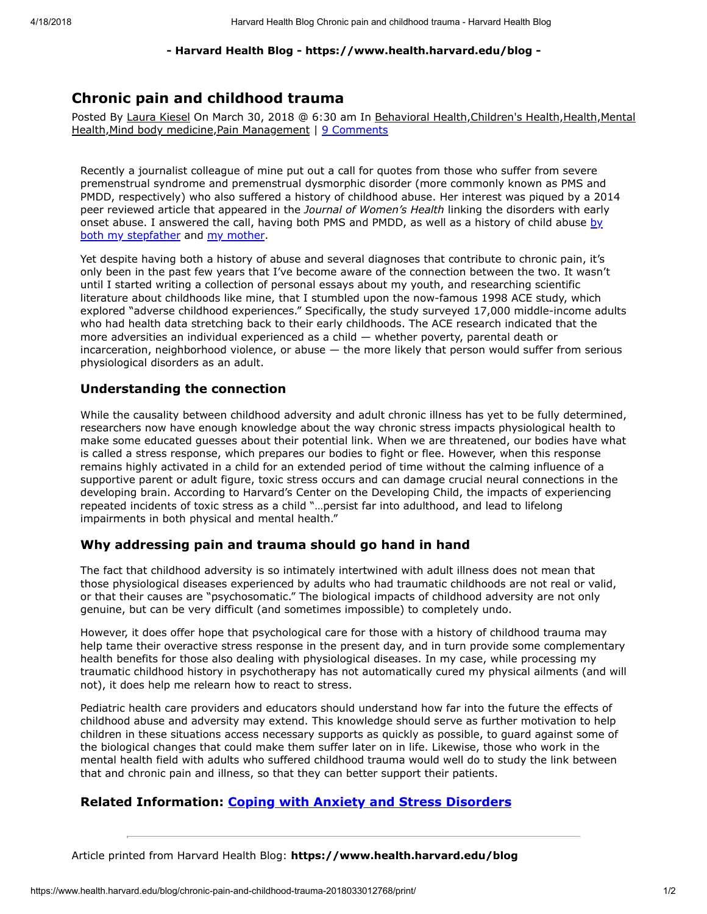#### - Harvard Health Blog - https://www.health.harvard.edu/blog -

# Chronic pain and childhood trauma

Posted By Laura Kiesel On March 30, 2018 @ 6:30 am In Behavioral Health,Children's Health,Health,Mental Health, Mind body medicine, Pain Management | 9 Comments

Recently a journalist colleague of mine put out a call for quotes from those who suffer from severe premenstrual syndrome and premenstrual dysmorphic disorder (more commonly known as PMS and PMDD, respectively) who also suffered a history of childhood abuse. Her interest was piqued by a 2014 peer reviewed article that appeared in the Journal of Women's Health linking the disorders with early [onset abuse. I answered the call, having both PMS and PMDD, as well as a history of child abuse by](http://modernloss.com/hard-time/) both my stepfather and [my mother](https://www.salon.com/2014/03/31/my_mother_the_drug_addict/).

Yet despite having both a history of abuse and several diagnoses that contribute to chronic pain, it's only been in the past few years that I've become aware of the connection between the two. It wasn't until I started writing a collection of personal essays about my youth, and researching scientific literature about childhoods like mine, that I stumbled upon the now-famous 1998 ACE study, which explored "adverse childhood experiences." Specifically, the study surveyed 17,000 middle-income adults who had health data stretching back to their early childhoods. The ACE research indicated that the more adversities an individual experienced as a child — whether poverty, parental death or incarceration, neighborhood violence, or abuse — the more likely that person would suffer from serious physiological disorders as an adult.

### Understanding the connection

While the causality between childhood adversity and adult chronic illness has yet to be fully determined, researchers now have enough knowledge about the way chronic stress impacts physiological health to make some educated guesses about their potential link. When we are threatened, our bodies have what is called a stress response, which prepares our bodies to fight or flee. However, when this response remains highly activated in a child for an extended period of time without the calming influence of a supportive parent or adult figure, toxic stress occurs and can damage crucial neural connections in the developing brain. According to Harvard's Center on the Developing Child, the impacts of experiencing repeated incidents of toxic stress as a child "…persist far into adulthood, and lead to lifelong impairments in both physical and mental health."

### Why addressing pain and trauma should go hand in hand

The fact that childhood adversity is so intimately intertwined with adult illness does not mean that those physiological diseases experienced by adults who had traumatic childhoods are not real or valid, or that their causes are "psychosomatic." The biological impacts of childhood adversity are not only genuine, but can be very difficult (and sometimes impossible) to completely undo.

However, it does offer hope that psychological care for those with a history of childhood trauma may help tame their overactive stress response in the present day, and in turn provide some complementary health benefits for those also dealing with physiological diseases. In my case, while processing my traumatic childhood history in psychotherapy has not automatically cured my physical ailments (and will not), it does help me relearn how to react to stress.

Pediatric health care providers and educators should understand how far into the future the effects of childhood abuse and adversity may extend. This knowledge should serve as further motivation to help children in these situations access necessary supports as quickly as possible, to guard against some of the biological changes that could make them suffer later on in life. Likewise, those who work in the mental health field with adults who suffered childhood trauma would well do to study the link between that and chronic pain and illness, so that they can better support their patients.

## Related Information: [Coping with Anxiety and Stress Disorders](https://www.health.harvard.edu/special-health-reports/coping-with-anxiety-and-stress-disorders?utm_source=HHPBlog&utm_medium=link&utm_content=related-text&utm_campaign=referral)

Article printed from Harvard Health Blog: https://www.health.harvard.edu/blog